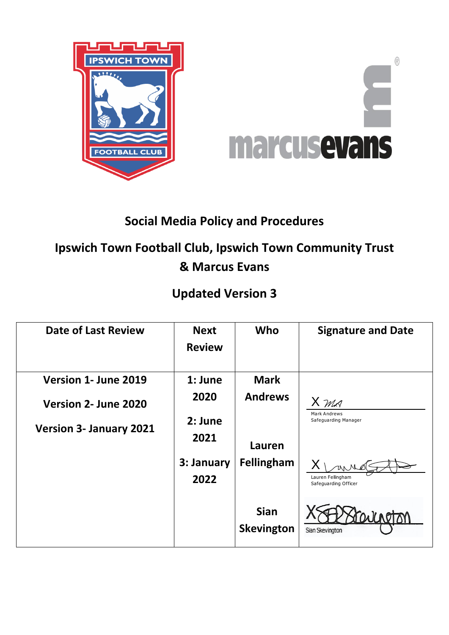

# **Social Media Policy and Procedures**

# **Ipswich Town Football Club, Ipswich Town Community Trust & Marcus Evans**

# **Updated Version 3**

| <b>Date of Last Review</b>     | <b>Next</b><br><b>Review</b> | Who                              | <b>Signature and Date</b>                   |
|--------------------------------|------------------------------|----------------------------------|---------------------------------------------|
| Version 1- June 2019           | $1:$ June                    | <b>Mark</b>                      |                                             |
| Version 2- June 2020           | 2020                         | <b>Andrews</b>                   | X MA                                        |
| <b>Version 3- January 2021</b> | 2: June<br>2021              | Lauren                           | <b>Mark Andrews</b><br>Safeguarding Manager |
|                                | 3: January<br>2022           | Fellingham                       | Lauren Fellingham<br>Safeguarding Officer   |
|                                |                              | <b>Sian</b><br><b>Skevington</b> | Sian Skevington                             |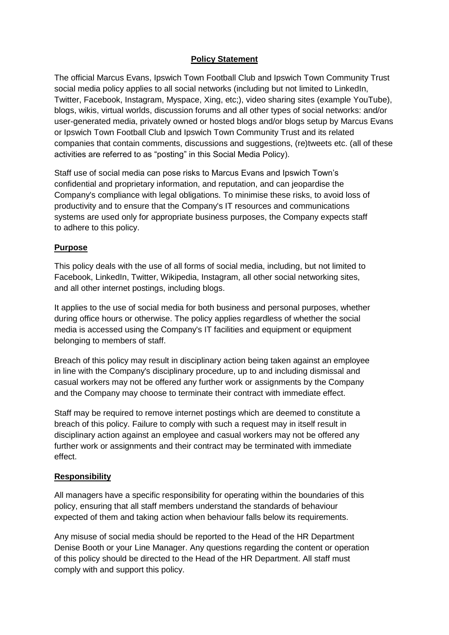#### **Policy Statement**

The official Marcus Evans, Ipswich Town Football Club and Ipswich Town Community Trust social media policy applies to all social networks (including but not limited to LinkedIn, Twitter, Facebook, Instagram, Myspace, Xing, etc;), video sharing sites (example YouTube), blogs, wikis, virtual worlds, discussion forums and all other types of social networks: and/or user-generated media, privately owned or hosted blogs and/or blogs setup by Marcus Evans or Ipswich Town Football Club and Ipswich Town Community Trust and its related companies that contain comments, discussions and suggestions, (re)tweets etc. (all of these activities are referred to as "posting" in this Social Media Policy).

Staff use of social media can pose risks to Marcus Evans and Ipswich Town's confidential and proprietary information, and reputation, and can jeopardise the Company's compliance with legal obligations. To minimise these risks, to avoid loss of productivity and to ensure that the Company's IT resources and communications systems are used only for appropriate business purposes, the Company expects staff to adhere to this policy.

#### **Purpose**

This policy deals with the use of all forms of social media, including, but not limited to Facebook, LinkedIn, Twitter, Wikipedia, Instagram, all other social networking sites, and all other internet postings, including blogs.

It applies to the use of social media for both business and personal purposes, whether during office hours or otherwise. The policy applies regardless of whether the social media is accessed using the Company's IT facilities and equipment or equipment belonging to members of staff.

Breach of this policy may result in disciplinary action being taken against an employee in line with the Company's disciplinary procedure, up to and including dismissal and casual workers may not be offered any further work or assignments by the Company and the Company may choose to terminate their contract with immediate effect.

Staff may be required to remove internet postings which are deemed to constitute a breach of this policy. Failure to comply with such a request may in itself result in disciplinary action against an employee and casual workers may not be offered any further work or assignments and their contract may be terminated with immediate effect.

## **Responsibility**

All managers have a specific responsibility for operating within the boundaries of this policy, ensuring that all staff members understand the standards of behaviour expected of them and taking action when behaviour falls below its requirements.

Any misuse of social media should be reported to the Head of the HR Department Denise Booth or your Line Manager. Any questions regarding the content or operation of this policy should be directed to the Head of the HR Department. All staff must comply with and support this policy.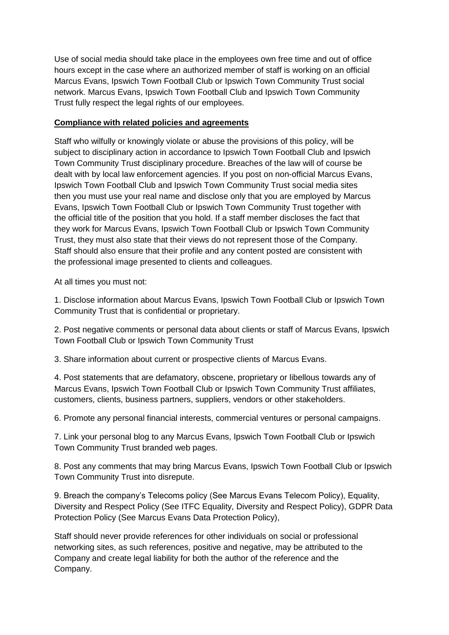Use of social media should take place in the employees own free time and out of office hours except in the case where an authorized member of staff is working on an official Marcus Evans, Ipswich Town Football Club or Ipswich Town Community Trust social network. Marcus Evans, Ipswich Town Football Club and Ipswich Town Community Trust fully respect the legal rights of our employees.

#### **Compliance with related policies and agreements**

Staff who wilfully or knowingly violate or abuse the provisions of this policy, will be subject to disciplinary action in accordance to Ipswich Town Football Club and Ipswich Town Community Trust disciplinary procedure. Breaches of the law will of course be dealt with by local law enforcement agencies. If you post on non-official Marcus Evans, Ipswich Town Football Club and Ipswich Town Community Trust social media sites then you must use your real name and disclose only that you are employed by Marcus Evans, Ipswich Town Football Club or Ipswich Town Community Trust together with the official title of the position that you hold. If a staff member discloses the fact that they work for Marcus Evans, Ipswich Town Football Club or Ipswich Town Community Trust, they must also state that their views do not represent those of the Company. Staff should also ensure that their profile and any content posted are consistent with the professional image presented to clients and colleagues.

At all times you must not:

1. Disclose information about Marcus Evans, Ipswich Town Football Club or Ipswich Town Community Trust that is confidential or proprietary.

2. Post negative comments or personal data about clients or staff of Marcus Evans, Ipswich Town Football Club or Ipswich Town Community Trust

3. Share information about current or prospective clients of Marcus Evans.

4. Post statements that are defamatory, obscene, proprietary or libellous towards any of Marcus Evans, Ipswich Town Football Club or Ipswich Town Community Trust affiliates, customers, clients, business partners, suppliers, vendors or other stakeholders.

6. Promote any personal financial interests, commercial ventures or personal campaigns.

7. Link your personal blog to any Marcus Evans, Ipswich Town Football Club or Ipswich Town Community Trust branded web pages.

8. Post any comments that may bring Marcus Evans, Ipswich Town Football Club or Ipswich Town Community Trust into disrepute.

9. Breach the company's Telecoms policy (See Marcus Evans Telecom Policy), Equality, Diversity and Respect Policy (See ITFC Equality, Diversity and Respect Policy), GDPR Data Protection Policy (See Marcus Evans Data Protection Policy),

Staff should never provide references for other individuals on social or professional networking sites, as such references, positive and negative, may be attributed to the Company and create legal liability for both the author of the reference and the Company.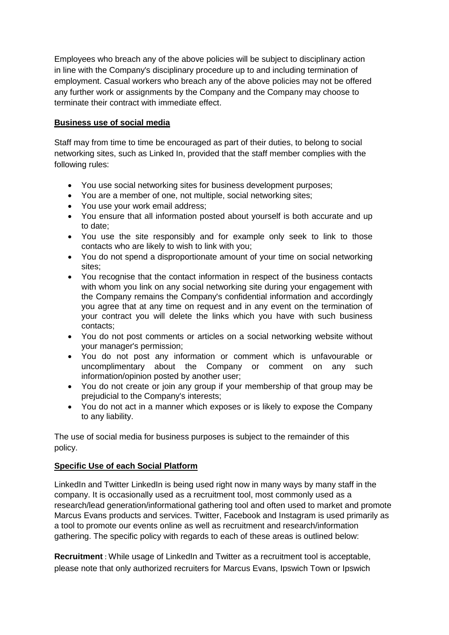Employees who breach any of the above policies will be subject to disciplinary action in line with the Company's disciplinary procedure up to and including termination of employment. Casual workers who breach any of the above policies may not be offered any further work or assignments by the Company and the Company may choose to terminate their contract with immediate effect.

#### **Business use of social media**

Staff may from time to time be encouraged as part of their duties, to belong to social networking sites, such as Linked In, provided that the staff member complies with the following rules:

- You use social networking sites for business development purposes;
- You are a member of one, not multiple, social networking sites;
- You use your work email address;
- You ensure that all information posted about yourself is both accurate and up to date;
- You use the site responsibly and for example only seek to link to those contacts who are likely to wish to link with you;
- You do not spend a disproportionate amount of your time on social networking sites;
- You recognise that the contact information in respect of the business contacts with whom you link on any social networking site during your engagement with the Company remains the Company's confidential information and accordingly you agree that at any time on request and in any event on the termination of your contract you will delete the links which you have with such business contacts;
- You do not post comments or articles on a social networking website without your manager's permission;
- You do not post any information or comment which is unfavourable or uncomplimentary about the Company or comment on any such information/opinion posted by another user;
- You do not create or join any group if your membership of that group may be prejudicial to the Company's interests;
- You do not act in a manner which exposes or is likely to expose the Company to any liability.

The use of social media for business purposes is subject to the remainder of this policy.

## **Specific Use of each Social Platform**

LinkedIn and Twitter LinkedIn is being used right now in many ways by many staff in the company. It is occasionally used as a recruitment tool, most commonly used as a research/lead generation/informational gathering tool and often used to market and promote Marcus Evans products and services. Twitter, Facebook and Instagram is used primarily as a tool to promote our events online as well as recruitment and research/information gathering. The specific policy with regards to each of these areas is outlined below:

**Recruitment** : While usage of LinkedIn and Twitter as a recruitment tool is acceptable, please note that only authorized recruiters for Marcus Evans, Ipswich Town or Ipswich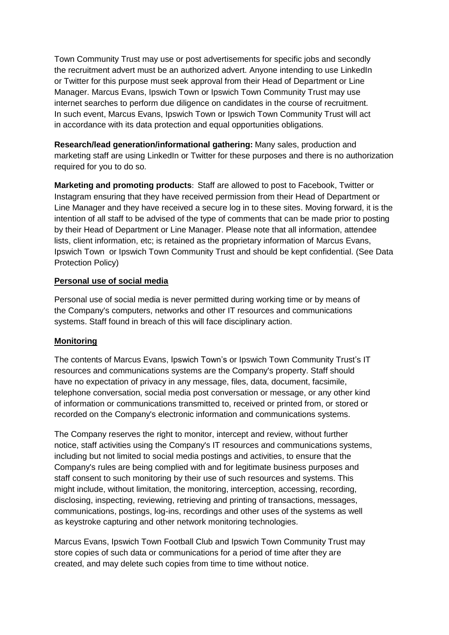Town Community Trust may use or post advertisements for specific jobs and secondly the recruitment advert must be an authorized advert. Anyone intending to use LinkedIn or Twitter for this purpose must seek approval from their Head of Department or Line Manager. Marcus Evans, Ipswich Town or Ipswich Town Community Trust may use internet searches to perform due diligence on candidates in the course of recruitment. In such event, Marcus Evans, Ipswich Town or Ipswich Town Community Trust will act in accordance with its data protection and equal opportunities obligations.

**Research/lead generation/informational gathering:** Many sales, production and marketing staff are using LinkedIn or Twitter for these purposes and there is no authorization required for you to do so.

**Marketing and promoting products**: Staff are allowed to post to Facebook, Twitter or Instagram ensuring that they have received permission from their Head of Department or Line Manager and they have received a secure log in to these sites. Moving forward, it is the intention of all staff to be advised of the type of comments that can be made prior to posting by their Head of Department or Line Manager. Please note that all information, attendee lists, client information, etc; is retained as the proprietary information of Marcus Evans, Ipswich Town or Ipswich Town Community Trust and should be kept confidential. (See Data Protection Policy)

#### **Personal use of social media**

Personal use of social media is never permitted during working time or by means of the Company's computers, networks and other IT resources and communications systems. Staff found in breach of this will face disciplinary action.

## **Monitoring**

The contents of Marcus Evans, Ipswich Town's or Ipswich Town Community Trust's IT resources and communications systems are the Company's property. Staff should have no expectation of privacy in any message, files, data, document, facsimile, telephone conversation, social media post conversation or message, or any other kind of information or communications transmitted to, received or printed from, or stored or recorded on the Company's electronic information and communications systems.

The Company reserves the right to monitor, intercept and review, without further notice, staff activities using the Company's IT resources and communications systems, including but not limited to social media postings and activities, to ensure that the Company's rules are being complied with and for legitimate business purposes and staff consent to such monitoring by their use of such resources and systems. This might include, without limitation, the monitoring, interception, accessing, recording, disclosing, inspecting, reviewing, retrieving and printing of transactions, messages, communications, postings, log-ins, recordings and other uses of the systems as well as keystroke capturing and other network monitoring technologies.

Marcus Evans, Ipswich Town Football Club and Ipswich Town Community Trust may store copies of such data or communications for a period of time after they are created, and may delete such copies from time to time without notice.